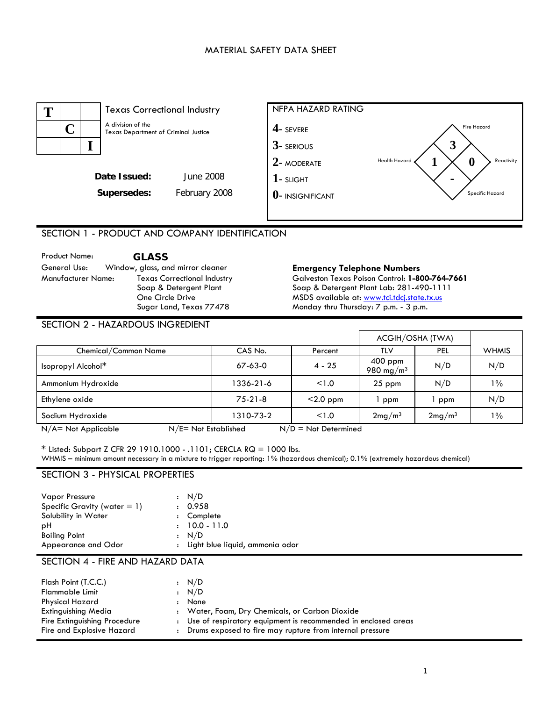# MATERIAL SAFETY DATA SHEET



# SECTION 1 - PRODUCT AND COMPANY IDENTIFICATION

Product Name: **GLASS**<br>
General Use: Window, glass, and mirror cleaner Manufacturer Name: Texas Correctional Industry Soap & Detergent Plant One Circle Drive Sugar Land, Texas 77478

#### **Emergency Telephone Numbers**

Galveston Texas Poison Control: **1-800-764-7661**  Soap & Detergent Plant Lab: 281-490-1111 MSDS available at: [www.tci.tdcj.state.tx.us](http://www.tci.tdcj.state.tx.us/) Monday thru Thursday: 7 p.m. - 3 p.m.

| <b>SECTION 2 - HAZARDOUS INGREDIENT</b> |               |             |                                    |                    |              |
|-----------------------------------------|---------------|-------------|------------------------------------|--------------------|--------------|
|                                         |               |             | ACGIH/OSHA (TWA)                   |                    |              |
| Chemical/Common Name                    | CAS No.       | Percent     | <b>TLV</b>                         | PEL                | <b>WHMIS</b> |
| Isopropyl Alcohol*                      | $67 - 63 - 0$ | $4 - 25$    | $400$ ppm<br>980 mg/m <sup>3</sup> | N/D                | N/D          |
| Ammonium Hydroxide                      | 1336-21-6     | < 1.0       | $25$ ppm                           | N/D                | $1\%$        |
| Ethylene oxide                          | $75-21-8$     | $<$ 2.0 ppm | ppm                                | ppm                | N/D          |
| Sodium Hydroxide                        | 1310-73-2     | < 1.0       | 2mg/m <sup>3</sup>                 | 2mg/m <sup>3</sup> | $1\%$        |

 $N/A$  = Not Applicable  $N/E$  = Not Established  $N/D$  = Not Determined

\* Listed: Subpart Z CFR 29 1910.1000 - .1101; CERCLA RQ = 1000 lbs. WHMIS – minimum amount necessary in a mixture to trigger reporting: 1% (hazardous chemical); 0.1% (extremely hazardous chemical)

## SECTION 3 - PHYSICAL PROPERTIES

| <b>Vapor Pressure</b>           | : N/D                             |
|---------------------------------|-----------------------------------|
| Specific Gravity (water $= 1$ ) | : 0.958                           |
| Solubility in Water             | : Complete                        |
| рH                              | $: 10.0 - 11.0$                   |
| <b>Boiling Point</b>            | : N/D                             |
| Appearance and Odor             | : Light blue liquid, ammonia odor |

## SECTION 4 - FIRE AND HAZARD DATA

| Flash Point (T.C.C.)<br><b>Flammable Limit</b> | : N/D<br>$\cdot$ N/D                                          |
|------------------------------------------------|---------------------------------------------------------------|
| Physical Hazard                                | None                                                          |
| Extinguishing Media                            | : Water, Foam, Dry Chemicals, or Carbon Dioxide               |
| Fire Extinguishing Procedure                   | Use of respiratory equipment is recommended in enclosed areas |
| Fire and Explosive Hazard                      | Drums exposed to fire may rupture from internal pressure      |